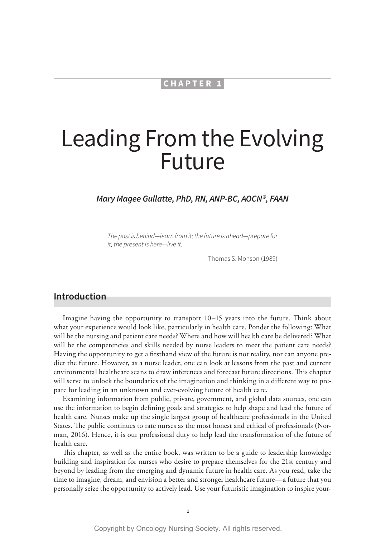#### **CHAPTER 1**

# Leading From the Evolving Future

#### *Mary Magee Gullatte, PhD, RN, ANP-BC, AOCN®, FAAN*

*The past is behind—learn from it; the future is ahead—prepare for it; the present is here—live it.*

—Thomas S. Monson (1989)

#### **Introduction**

Imagine having the opportunity to transport 10–15 years into the future. Think about what your experience would look like, particularly in health care. Ponder the following: What will be the nursing and patient care needs? Where and how will health care be delivered? What will be the competencies and skills needed by nurse leaders to meet the patient care needs? Having the opportunity to get a firsthand view of the future is not reality, nor can anyone predict the future. However, as a nurse leader, one can look at lessons from the past and current environmental healthcare scans to draw inferences and forecast future directions. This chapter will serve to unlock the boundaries of the imagination and thinking in a different way to prepare for leading in an unknown and ever-evolving future of health care.

Examining information from public, private, government, and global data sources, one can use the information to begin defining goals and strategies to help shape and lead the future of health care. Nurses make up the single largest group of healthcare professionals in the United States. The public continues to rate nurses as the most honest and ethical of professionals (Norman, 2016). Hence, it is our professional duty to help lead the transformation of the future of health care.

This chapter, as well as the entire book, was written to be a guide to leadership knowledge building and inspiration for nurses who desire to prepare themselves for the 21st century and beyond by leading from the emerging and dynamic future in health care. As you read, take the time to imagine, dream, and envision a better and stronger healthcare future—a future that you personally seize the opportunity to actively lead. Use your futuristic imagination to inspire your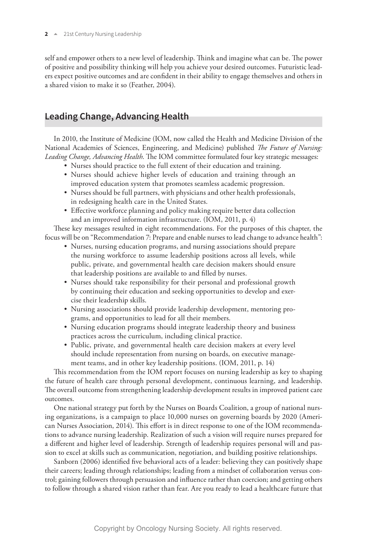self and empower others to a new level of leadership. Think and imagine what can be. The power of positive and possibility thinking will help you achieve your desired outcomes. Futuristic leaders expect positive outcomes and are confident in their ability to engage themselves and others in a shared vision to make it so (Feather, 2004).

# **Leading Change, Advancing Health**

In 2010, the Institute of Medicine (IOM, now called the Health and Medicine Division of the National Academies of Sciences, Engineering, and Medicine) published *The Future of Nursing: Leading Change, Advancing Health*. The IOM committee formulated four key strategic messages:

- Nurses should practice to the full extent of their education and training.
- Nurses should achieve higher levels of education and training through an improved education system that promotes seamless academic progression.
- Nurses should be full partners, with physicians and other health professionals, in redesigning health care in the United States.
- Effective workforce planning and policy making require better data collection and an improved information infrastructure. (IOM, 2011, p. 4)

These key messages resulted in eight recommendations. For the purposes of this chapter, the focus will be on "Recommendation 7: Prepare and enable nurses to lead change to advance health":

- Nurses, nursing education programs, and nursing associations should prepare the nursing workforce to assume leadership positions across all levels, while public, private, and governmental health care decision makers should ensure that leadership positions are available to and filled by nurses.
- Nurses should take responsibility for their personal and professional growth by continuing their education and seeking opportunities to develop and exercise their leadership skills.
- Nursing associations should provide leadership development, mentoring programs, and opportunities to lead for all their members.
- Nursing education programs should integrate leadership theory and business practices across the curriculum, including clinical practice.
- Public, private, and governmental health care decision makers at every level should include representation from nursing on boards, on executive management teams, and in other key leadership positions. (IOM, 2011, p. 14)

This recommendation from the IOM report focuses on nursing leadership as key to shaping the future of health care through personal development, continuous learning, and leadership. The overall outcome from strengthening leadership development results in improved patient care outcomes.

One national strategy put forth by the Nurses on Boards Coalition, a group of national nursing organizations, is a campaign to place 10,000 nurses on governing boards by 2020 (American Nurses Association, 2014). This effort is in direct response to one of the IOM recommendations to advance nursing leadership. Realization of such a vision will require nurses prepared for a different and higher level of leadership. Strength of leadership requires personal will and passion to excel at skills such as communication, negotiation, and building positive relationships.

Sanborn (2006) identified five behavioral acts of a leader: believing they can positively shape their careers; leading through relationships; leading from a mindset of collaboration versus control; gaining followers through persuasion and influence rather than coercion; and getting others to follow through a shared vision rather than fear. Are you ready to lead a healthcare future that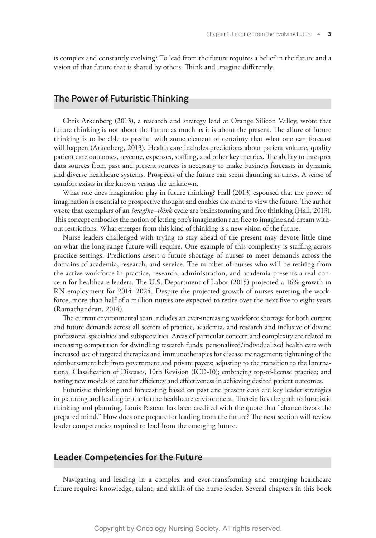is complex and constantly evolving? To lead from the future requires a belief in the future and a vision of that future that is shared by others. Think and imagine differently.

#### **The Power of Futuristic Thinking**

Chris Arkenberg (2013), a research and strategy lead at Orange Silicon Valley, wrote that future thinking is not about the future as much as it is about the present. The allure of future thinking is to be able to predict with some element of certainty that what one can forecast will happen (Arkenberg, 2013). Health care includes predictions about patient volume, quality patient care outcomes, revenue, expenses, staffing, and other key metrics. The ability to interpret data sources from past and present sources is necessary to make business forecasts in dynamic and diverse healthcare systems. Prospects of the future can seem daunting at times. A sense of comfort exists in the known versus the unknown.

What role does imagination play in future thinking? Hall (2013) espoused that the power of imagination is essential to prospective thought and enables the mind to view the future. The author wrote that exemplars of an *imagine–think* cycle are brainstorming and free thinking (Hall, 2013). This concept embodies the notion of letting one's imagination run free to imagine and dream without restrictions. What emerges from this kind of thinking is a new vision of the future.

Nurse leaders challenged with trying to stay ahead of the present may devote little time on what the long-range future will require. One example of this complexity is staffing across practice settings. Predictions assert a future shortage of nurses to meet demands across the domains of academia, research, and service. The number of nurses who will be retiring from the active workforce in practice, research, administration, and academia presents a real concern for healthcare leaders. The U.S. Department of Labor (2015) projected a 16% growth in RN employment for 2014–2024. Despite the projected growth of nurses entering the workforce, more than half of a million nurses are expected to retire over the next five to eight years (Ramachandran, 2014).

The current environmental scan includes an ever-increasing workforce shortage for both current and future demands across all sectors of practice, academia, and research and inclusive of diverse professional specialties and subspecialties. Areas of particular concern and complexity are related to increasing competition for dwindling research funds; personalized/individualized health care with increased use of targeted therapies and immunotherapies for disease management; tightening of the reimbursement belt from government and private payers; adjusting to the transition to the International Classification of Diseases, 10th Revision (ICD-10); embracing top-of-license practice; and testing new models of care for efficiency and effectiveness in achieving desired patient outcomes.

Futuristic thinking and forecasting based on past and present data are key leader strategies in planning and leading in the future healthcare environment. Therein lies the path to futuristic thinking and planning. Louis Pasteur has been credited with the quote that "chance favors the prepared mind." How does one prepare for leading from the future? The next section will review leader competencies required to lead from the emerging future.

#### **Leader Competencies for the Future**

Navigating and leading in a complex and ever-transforming and emerging healthcare future requires knowledge, talent, and skills of the nurse leader. Several chapters in this book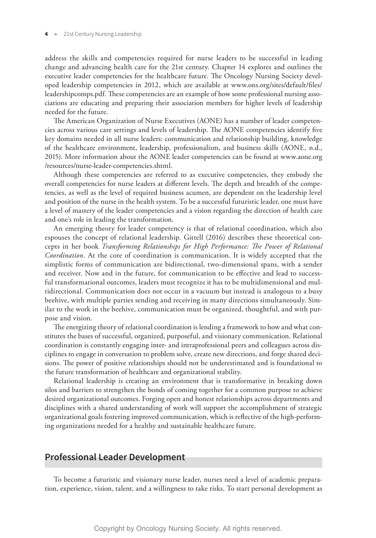address the skills and competencies required for nurse leaders to be successful in leading change and advancing health care for the 21st century. Chapter 14 explores and outlines the executive leader competencies for the healthcare future. The Oncology Nursing Society developed leadership competencies in 2012, which are available at www.ons.org/sites/default/files/ leadershipcomps.pdf. These competencies are an example of how some professional nursing associations are educating and preparing their association members for higher levels of leadership needed for the future.

The American Organization of Nurse Executives (AONE) has a number of leader competencies across various care settings and levels of leadership. The AONE competencies identify five key domains needed in all nurse leaders: communication and relationship building, knowledge of the healthcare environment, leadership, professionalism, and business skills (AONE, n.d., 2015). More information about the AONE leader competencies can be found at www.aone.org /resources/nurse-leader-competencies.shtml.

Although these competencies are referred to as executive competencies, they embody the overall competencies for nurse leaders at different levels. The depth and breadth of the competencies, as well as the level of required business acumen, are dependent on the leadership level and position of the nurse in the health system. To be a successful futuristic leader, one must have a level of mastery of the leader competencies and a vision regarding the direction of health care and one's role in leading the transformation.

An emerging theory for leader competency is that of relational coordination, which also espouses the concept of relational leadership. Gittell (2016) describes these theoretical concepts in her book *Transforming Relationships for High Performance: The Power of Relational Coordination*. At the core of coordination is communication. It is widely accepted that the simplistic forms of communication are bidirectional, two-dimensional spans, with a sender and receiver. Now and in the future, for communication to be effective and lead to successful transformational outcomes, leaders must recognize it has to be multidimensional and multidirectional. Communication does not occur in a vacuum but instead is analogous to a busy beehive, with multiple parties sending and receiving in many directions simultaneously. Similar to the work in the beehive, communication must be organized, thoughtful, and with purpose and vision.

The energizing theory of relational coordination is lending a framework to how and what constitutes the bases of successful, organized, purposeful, and visionary communication. Relational coordination is constantly engaging inter- and intraprofessional peers and colleagues across disciplines to engage in conversation to problem solve, create new directions, and forge shared decisions. The power of positive relationships should not be underestimated and is foundational to the future transformation of healthcare and organizational stability.

Relational leadership is creating an environment that is transformative in breaking down silos and barriers to strengthen the bonds of coming together for a common purpose to achieve desired organizational outcomes. Forging open and honest relationships across departments and disciplines with a shared understanding of work will support the accomplishment of strategic organizational goals fostering improved communication, which is reflective of the high-performing organizations needed for a healthy and sustainable healthcare future.

#### **Professional Leader Development**

To become a futuristic and visionary nurse leader, nurses need a level of academic preparation, experience, vision, talent, and a willingness to take risks. To start personal development as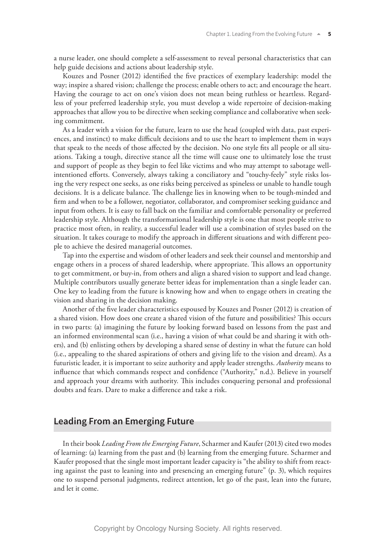a nurse leader, one should complete a self-assessment to reveal personal characteristics that can help guide decisions and actions about leadership style.

Kouzes and Posner (2012) identified the five practices of exemplary leadership: model the way; inspire a shared vision; challenge the process; enable others to act; and encourage the heart. Having the courage to act on one's vision does not mean being ruthless or heartless. Regardless of your preferred leadership style, you must develop a wide repertoire of decision-making approaches that allow you to be directive when seeking compliance and collaborative when seeking commitment.

As a leader with a vision for the future, learn to use the head (coupled with data, past experiences, and instinct) to make difficult decisions and to use the heart to implement them in ways that speak to the needs of those affected by the decision. No one style fits all people or all situations. Taking a tough, directive stance all the time will cause one to ultimately lose the trust and support of people as they begin to feel like victims and who may attempt to sabotage wellintentioned efforts. Conversely, always taking a conciliatory and "touchy-feely" style risks losing the very respect one seeks, as one risks being perceived as spineless or unable to handle tough decisions. It is a delicate balance. The challenge lies in knowing when to be tough-minded and firm and when to be a follower, negotiator, collaborator, and compromiser seeking guidance and input from others. It is easy to fall back on the familiar and comfortable personality or preferred leadership style. Although the transformational leadership style is one that most people strive to practice most often, in reality, a successful leader will use a combination of styles based on the situation. It takes courage to modify the approach in different situations and with different people to achieve the desired managerial outcomes.

Tap into the expertise and wisdom of other leaders and seek their counsel and mentorship and engage others in a process of shared leadership, where appropriate. This allows an opportunity to get commitment, or buy-in, from others and align a shared vision to support and lead change. Multiple contributors usually generate better ideas for implementation than a single leader can. One key to leading from the future is knowing how and when to engage others in creating the vision and sharing in the decision making.

Another of the five leader characteristics espoused by Kouzes and Posner (2012) is creation of a shared vision. How does one create a shared vision of the future and possibilities? This occurs in two parts: (a) imagining the future by looking forward based on lessons from the past and an informed environmental scan (i.e., having a vision of what could be and sharing it with others), and (b) enlisting others by developing a shared sense of destiny in what the future can hold (i.e., appealing to the shared aspirations of others and giving life to the vision and dream). As a futuristic leader, it is important to seize authority and apply leader strengths. *Authority* means to influence that which commands respect and confidence ("Authority," n.d.). Believe in yourself and approach your dreams with authority. This includes conquering personal and professional doubts and fears. Dare to make a difference and take a risk.

### **Leading From an Emerging Future**

In their book *Leading From the Emerging Future*, Scharmer and Kaufer (2013) cited two modes of learning: (a) learning from the past and (b) learning from the emerging future. Scharmer and Kaufer proposed that the single most important leader capacity is "the ability to shift from reacting against the past to leaning into and presencing an emerging future" (p. 3), which requires one to suspend personal judgments, redirect attention, let go of the past, lean into the future, and let it come.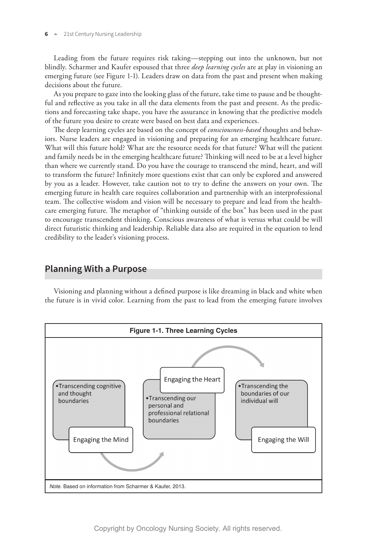Leading from the future requires risk taking—stepping out into the unknown, but not blindly. Scharmer and Kaufer espoused that three *deep learning cycles* are at play in visioning an emerging future (see Figure 1-1). Leaders draw on data from the past and present when making decisions about the future.

As you prepare to gaze into the looking glass of the future, take time to pause and be thoughtful and reflective as you take in all the data elements from the past and present. As the predictions and forecasting take shape, you have the assurance in knowing that the predictive models of the future you desire to create were based on best data and experiences.

The deep learning cycles are based on the concept of *consciousness-based* thoughts and behaviors. Nurse leaders are engaged in visioning and preparing for an emerging healthcare future. What will this future hold? What are the resource needs for that future? What will the patient and family needs be in the emerging healthcare future? Thinking will need to be at a level higher than where we currently stand. Do you have the courage to transcend the mind, heart, and will to transform the future? Infinitely more questions exist that can only be explored and answered by you as a leader. However, take caution not to try to define the answers on your own. The emerging future in health care requires collaboration and partnership with an interprofessional team. The collective wisdom and vision will be necessary to prepare and lead from the healthcare emerging future. The metaphor of "thinking outside of the box" has been used in the past to encourage transcendent thinking. Conscious awareness of what is versus what could be will direct futuristic thinking and leadership. Reliable data also are required in the equation to lend credibility to the leader's visioning process.

#### **Planning With a Purpose**

Visioning and planning without a defined purpose is like dreaming in black and white when the future is in vivid color. Learning from the past to lead from the emerging future involves

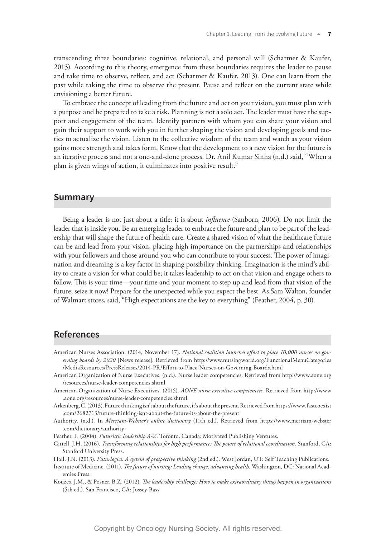transcending three boundaries: cognitive, relational, and personal will (Scharmer & Kaufer, 2013). According to this theory, emergence from these boundaries requires the leader to pause and take time to observe, reflect, and act (Scharmer & Kaufer, 2013). One can learn from the past while taking the time to observe the present. Pause and reflect on the current state while envisioning a better future.

To embrace the concept of leading from the future and act on your vision, you must plan with a purpose and be prepared to take a risk. Planning is not a solo act. The leader must have the support and engagement of the team. Identify partners with whom you can share your vision and gain their support to work with you in further shaping the vision and developing goals and tactics to actualize the vision. Listen to the collective wisdom of the team and watch as your vision gains more strength and takes form. Know that the development to a new vision for the future is an iterative process and not a one-and-done process. Dr. Anil Kumar Sinha (n.d.) said, "When a plan is given wings of action, it culminates into positive result."

#### **Summary**

Being a leader is not just about a title; it is about *influence* (Sanborn, 2006). Do not limit the leader that is inside you. Be an emerging leader to embrace the future and plan to be part of the leadership that will shape the future of health care. Create a shared vision of what the healthcare future can be and lead from your vision, placing high importance on the partnerships and relationships with your followers and those around you who can contribute to your success. The power of imagination and dreaming is a key factor in shaping possibility thinking. Imagination is the mind's ability to create a vision for what could be; it takes leadership to act on that vision and engage others to follow. This is your time—your time and your moment to step up and lead from that vision of the future; seize it now! Prepare for the unexpected while you expect the best. As Sam Walton, founder of Walmart stores, said, "High expectations are the key to everything" (Feather, 2004, p. 30).

## **References**

American Nurses Association. (2014, November 17). *National coalition launches effort to place 10,000 nurses on governing boards by 2020* [News release]. Retrieved from http://www.nursingworld.org/FunctionalMenuCategories /MediaResources/PressReleases/2014-PR/Effort-to-Place-Nurses-on-Governing-Boards.html

American Organization of Nurse Executives. (n.d.). Nurse leader competencies. Retrieved from http://www.aone.org /resources/nurse-leader-competencies.shtml

American Organization of Nurse Executives. (2015). *AONE nurse executive competencies.* Retrieved from http://www .aone.org/resources/nurse-leader-competencies.shtml.

Arkenberg, C. (2013). Future thinking isn't about the future, it's about the present. Retrieved from https://www.fastcoexist .com/2682713/future-thinking-isnt-about-the-future-its-about-the-present

Authority. (n.d.). In *Merriam-Webster's online dictionary* (11th ed.). Retrieved from https://www.merriam-webster .com/dictionary/authority

Feather, F. (2004). *Futuristic leadership A-Z*. Toronto, Canada: Motivated Publishing Ventures.

Gittell, J.H. (2016). *Transforming relationships for high performance: The power of relational coordination.* Stanford, CA: Stanford University Press.

Hall, J.N. (2013). *Futurlogics: A system of prospective thinking* (2nd ed.). West Jordan, UT: Self Teaching Publications.

Institute of Medicine. (2011). *The future of nursing: Leading change, advancing health.* Washington, DC: National Academies Press.

Kouzes, J.M., & Posner, B.Z. (2012). *The leadership challenge: How to make extraordinary things happen in organizations* (5th ed.). San Francisco, CA: Jossey-Bass.